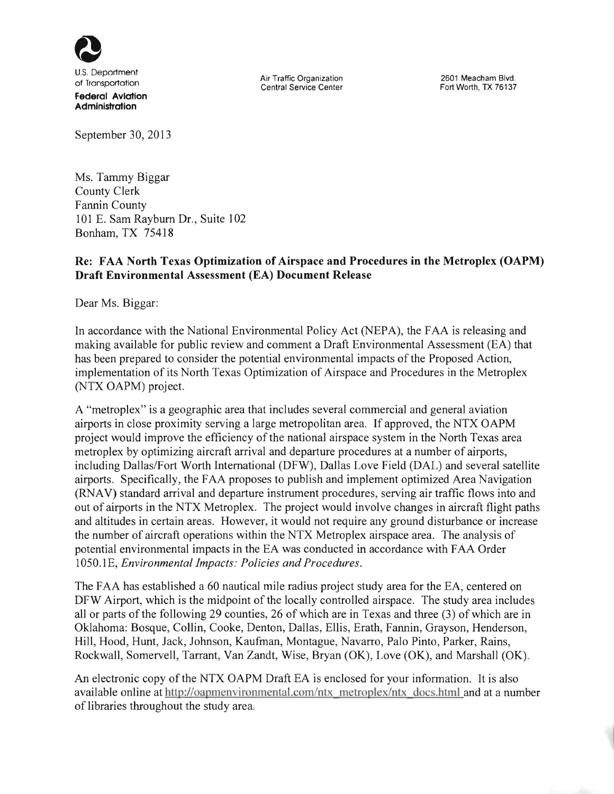

U.S, Deportment **Federal Aviation** 

**Administration** 

September 30, 2013

Ms. Tammy Biggar County Clerk Fannin County 101 E. Sam Rayburn Dr., Suite 102 Bonham, TX 754 18

## Re: FAA North Texas Optimization of Airspace and Procedures in the Metroplex (OAPM) Draft Environmental Assessment (EA) Document Release

Dear Ms. Biggar:

In accordance with the National Environmental Policy Act (NEPA), the FAA is releasing and making available for public review and comment a Draft Environmental Assessment (EA) that has been prepared to consider the potential environmental impacts of the Proposed Action, implementation of its North Texas Optimization of Airspace and Procedures in the Metroplex (NTX OAPM) project.

A "metroplex" is a geographic area that includes several commercial and general aviation airports in close proximity serving a large metropolitan area. If approved, the NTX OAPM project would improve the efficiency of the national airspace system in the North Texas area metroplex by optimizing aircraft arrival and departure procedures at a number of airports, including Dallas/Fort Worth International (DFW), Dallas Love Field (DAL) and several satellite airports. Specifically, the FAA proposes to publish and implement optimized Area Navigation (RNA V) standard arrival and departure instrument procedures, serving air traffic flows into and out of airports in the NTX Metroplex. The project would involve changes in aircraft flight paths and altitudes in certain areas. However, it would not require any ground disturbance or increase the number of aircraft operations within the NTX Metroplex airspace area. The analysis of potential environmental impacts in the EA was conducted in accordance with FAA Order 1050.1E, *Environmental Impacts: Policies and Procedures.* 

The FAA has established a 60 nautical mile radius project study area for the EA, centered on DFW Airport, which is the midpoint of the locally controlled airspace. The study area includes all or parts of the following 29 counties, 26 of which are in Texas and three (3) of which are in Oklahoma: Bosque, Collin, Cooke, Denton, Dallas, Ellis, Erath, Fannin, Grayson, Henderson, Hill, Hood, Hunt, Jack, Johnson, Kaufman, Montague, Navarro, Palo Pinto, Parker, Rains, Rockwall, Somervell, Tarrant, Van Zandt, Wise, Bryan (OK), Love (OK), and Marshall (OK).

An electronic copy of the NTX OAPM Draft EA is enclosed for your information. It is also available online at http://oapmenvironmental.com/ntx metroplex/ntx docs.html and at a number of libraries throughout the study area.

of Transportation Air Traffic Organization<br>
Air Traffic Organization Central Service Center

2601 Meacham Blvd. Fort Worth, TX 76137